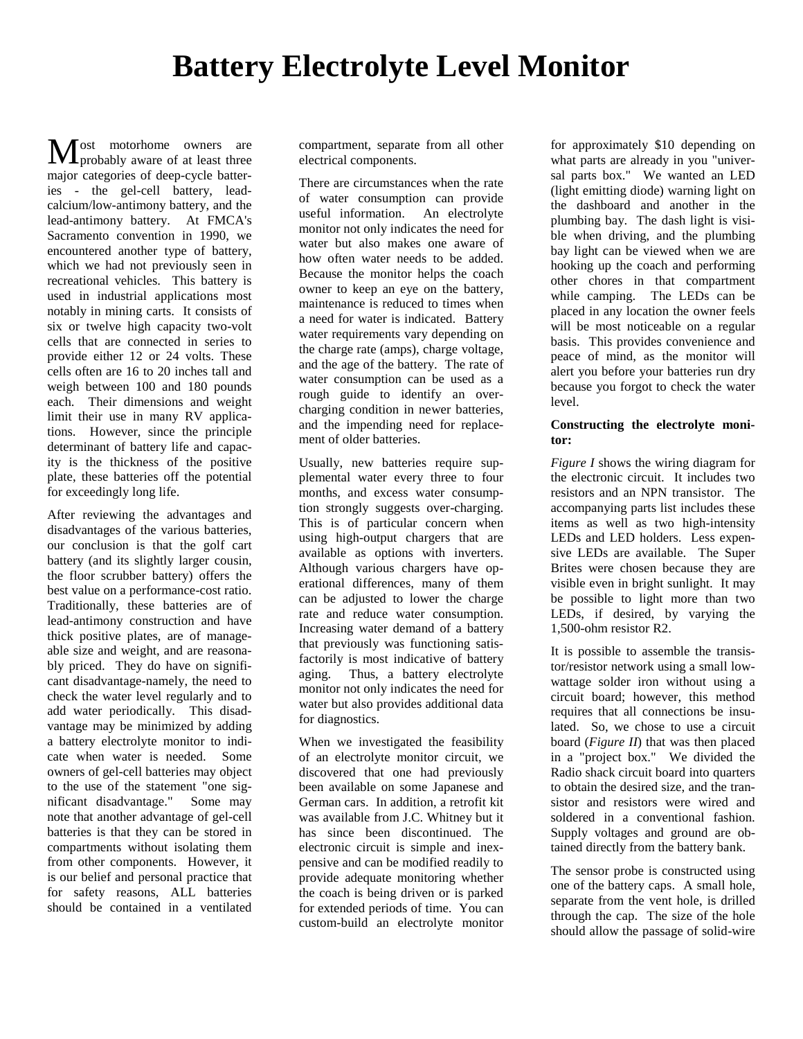ost motorhome owners are **M** ost motorhome owners are<br>probably aware of at least three major categories of deep-cycle batteries - the gel-cell battery, leadcalcium/low-antimony battery, and the lead-antimony battery. At FMCA's Sacramento convention in 1990, we encountered another type of battery, which we had not previously seen in recreational vehicles. This battery is used in industrial applications most notably in mining carts. It consists of six or twelve high capacity two-volt cells that are connected in series to provide either 12 or 24 volts. These cells often are 16 to 20 inches tall and weigh between 100 and 180 pounds each. Their dimensions and weight limit their use in many RV applications. However, since the principle determinant of battery life and capacity is the thickness of the positive plate, these batteries off the potential for exceedingly long life.

After reviewing the advantages and disadvantages of the various batteries, our conclusion is that the golf cart battery (and its slightly larger cousin, the floor scrubber battery) offers the best value on a performance-cost ratio. Traditionally, these batteries are of lead-antimony construction and have thick positive plates, are of manageable size and weight, and are reasonably priced. They do have on significant disadvantage-namely, the need to check the water level regularly and to add water periodically. This disadvantage may be minimized by adding a battery electrolyte monitor to indicate when water is needed. Some owners of gel-cell batteries may object to the use of the statement "one significant disadvantage." Some may note that another advantage of gel-cell batteries is that they can be stored in compartments without isolating them from other components. However, it is our belief and personal practice that for safety reasons, ALL batteries should be contained in a ventilated

compartment, separate from all other electrical components.

There are circumstances when the rate of water consumption can provide useful information. An electrolyte monitor not only indicates the need for water but also makes one aware of how often water needs to be added. Because the monitor helps the coach owner to keep an eye on the battery, maintenance is reduced to times when a need for water is indicated. Battery water requirements vary depending on the charge rate (amps), charge voltage, and the age of the battery. The rate of water consumption can be used as a rough guide to identify an overcharging condition in newer batteries, and the impending need for replacement of older batteries.

Usually, new batteries require supplemental water every three to four months, and excess water consumption strongly suggests over-charging. This is of particular concern when using high-output chargers that are available as options with inverters. Although various chargers have operational differences, many of them can be adjusted to lower the charge rate and reduce water consumption. Increasing water demand of a battery that previously was functioning satisfactorily is most indicative of battery aging. Thus, a battery electrolyte monitor not only indicates the need for water but also provides additional data for diagnostics.

When we investigated the feasibility of an electrolyte monitor circuit, we discovered that one had previously been available on some Japanese and German cars. In addition, a retrofit kit was available from J.C. Whitney but it has since been discontinued. The electronic circuit is simple and inexpensive and can be modified readily to provide adequate monitoring whether the coach is being driven or is parked for extended periods of time. You can custom-build an electrolyte monitor

for approximately \$10 depending on what parts are already in you "universal parts box." We wanted an LED (light emitting diode) warning light on the dashboard and another in the plumbing bay. The dash light is visible when driving, and the plumbing bay light can be viewed when we are hooking up the coach and performing other chores in that compartment while camping. The LEDs can be placed in any location the owner feels will be most noticeable on a regular basis. This provides convenience and peace of mind, as the monitor will alert you before your batteries run dry because you forgot to check the water level.

## **Constructing the electrolyte monitor:**

*Figure I* shows the wiring diagram for the electronic circuit. It includes two resistors and an NPN transistor. The accompanying parts list includes these items as well as two high-intensity LEDs and LED holders. Less expensive LEDs are available. The Super Brites were chosen because they are visible even in bright sunlight. It may be possible to light more than two LEDs, if desired, by varying the 1,500-ohm resistor R2.

It is possible to assemble the transistor/resistor network using a small lowwattage solder iron without using a circuit board; however, this method requires that all connections be insulated. So, we chose to use a circuit board (*Figure II*) that was then placed in a "project box." We divided the Radio shack circuit board into quarters to obtain the desired size, and the transistor and resistors were wired and soldered in a conventional fashion. Supply voltages and ground are obtained directly from the battery bank.

The sensor probe is constructed using one of the battery caps. A small hole, separate from the vent hole, is drilled through the cap. The size of the hole should allow the passage of solid-wire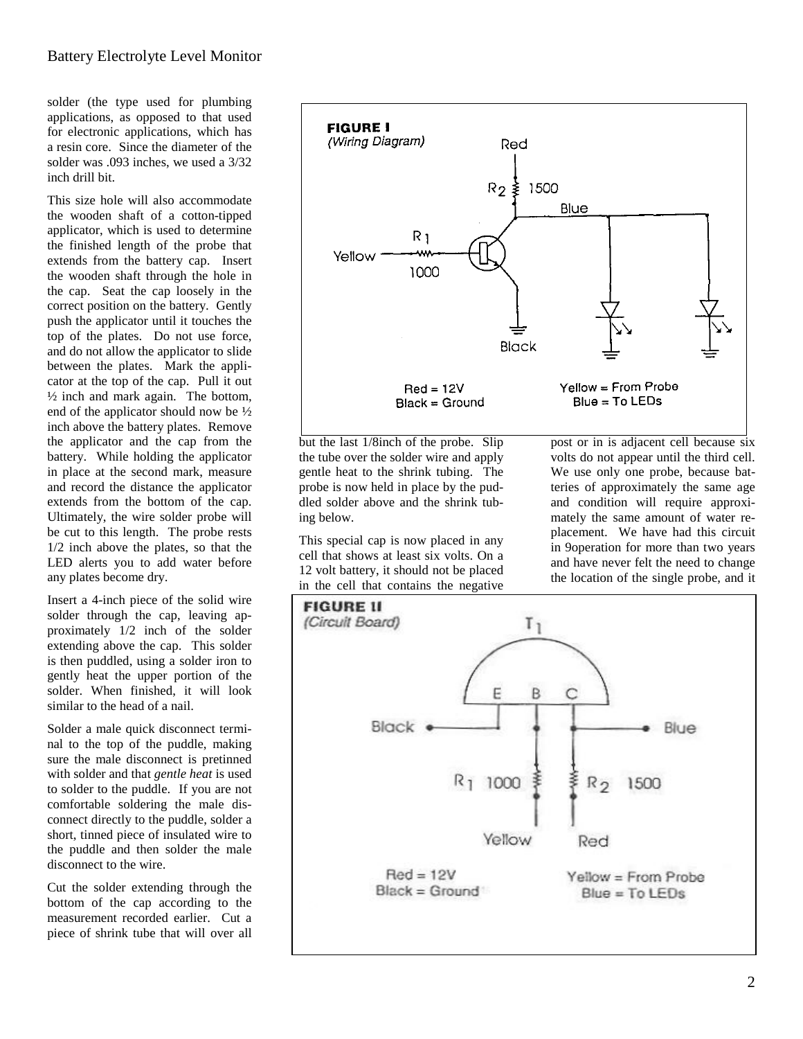solder (the type used for plumbing applications, as opposed to that used for electronic applications, which has a resin core. Since the diameter of the solder was .093 inches, we used a 3/32 inch drill bit.

This size hole will also accommodate the wooden shaft of a cotton-tipped applicator, which is used to determine the finished length of the probe that extends from the battery cap. Insert the wooden shaft through the hole in the cap. Seat the cap loosely in the correct position on the battery. Gently push the applicator until it touches the top of the plates. Do not use force, and do not allow the applicator to slide between the plates. Mark the applicator at the top of the cap. Pull it out  $\frac{1}{2}$  inch and mark again. The bottom, end of the applicator should now be ½ inch above the battery plates. Remove the applicator and the cap from the battery. While holding the applicator in place at the second mark, measure and record the distance the applicator extends from the bottom of the cap. Ultimately, the wire solder probe will be cut to this length. The probe rests 1/2 inch above the plates, so that the LED alerts you to add water before any plates become dry.

Insert a 4-inch piece of the solid wire solder through the cap, leaving approximately 1/2 inch of the solder extending above the cap. This solder is then puddled, using a solder iron to gently heat the upper portion of the solder. When finished, it will look similar to the head of a nail.

Solder a male quick disconnect terminal to the top of the puddle, making sure the male disconnect is pretinned with solder and that *gentle heat* is used to solder to the puddle. If you are not comfortable soldering the male disconnect directly to the puddle, solder a short, tinned piece of insulated wire to the puddle and then solder the male disconnect to the wire.

Cut the solder extending through the bottom of the cap according to the measurement recorded earlier. Cut a piece of shrink tube that will over all



but the last 1/8inch of the probe. Slip the tube over the solder wire and apply gentle heat to the shrink tubing. The probe is now held in place by the puddled solder above and the shrink tubing below.

This special cap is now placed in any cell that shows at least six volts. On a 12 volt battery, it should not be placed in the cell that contains the negative post or in is adjacent cell because six volts do not appear until the third cell. We use only one probe, because batteries of approximately the same age and condition will require approximately the same amount of water replacement. We have had this circuit in 9operation for more than two years and have never felt the need to change the location of the single probe, and it